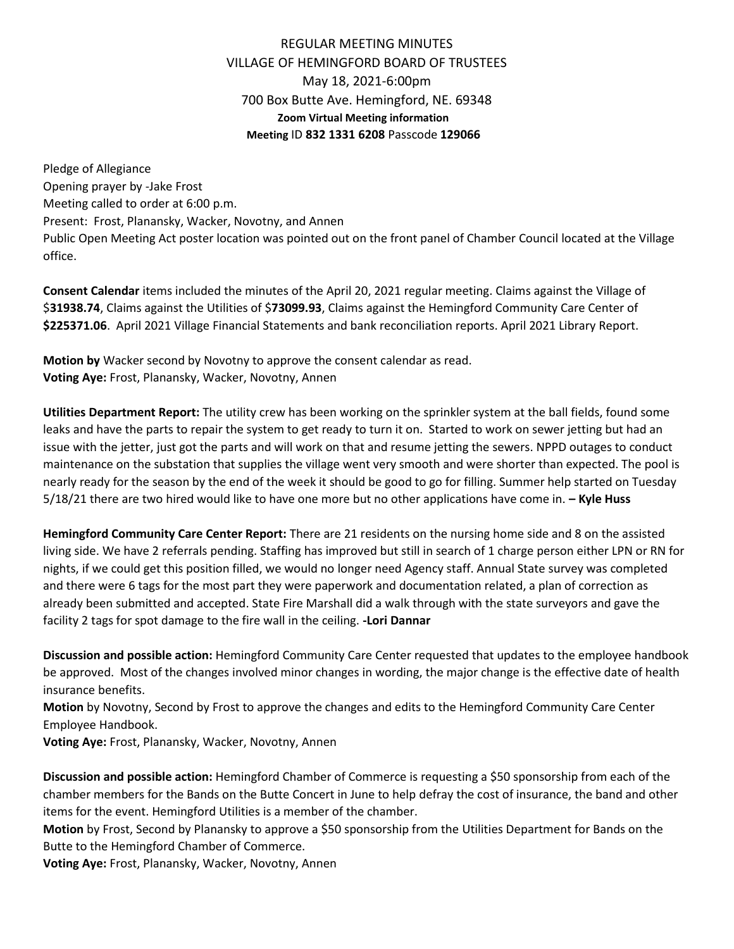## REGULAR MEETING MINUTES VILLAGE OF HEMINGFORD BOARD OF TRUSTEES May 18, 2021-6:00pm 700 Box Butte Ave. Hemingford, NE. 69348 **Zoom Virtual Meeting information Meeting** ID **832 1331 6208** Passcode **129066**

Pledge of Allegiance Opening prayer by -Jake Frost Meeting called to order at 6:00 p.m. Present: Frost, Planansky, Wacker, Novotny, and Annen Public Open Meeting Act poster location was pointed out on the front panel of Chamber Council located at the Village office.

**Consent Calendar** items included the minutes of the April 20, 2021 regular meeting. Claims against the Village of \$**31938.74**, Claims against the Utilities of \$**73099.93**, Claims against the Hemingford Community Care Center of **\$225371.06**. April 2021 Village Financial Statements and bank reconciliation reports. April 2021 Library Report.

**Motion by** Wacker second by Novotny to approve the consent calendar as read. **Voting Aye:** Frost, Planansky, Wacker, Novotny, Annen

**Utilities Department Report:** The utility crew has been working on the sprinkler system at the ball fields, found some leaks and have the parts to repair the system to get ready to turn it on. Started to work on sewer jetting but had an issue with the jetter, just got the parts and will work on that and resume jetting the sewers. NPPD outages to conduct maintenance on the substation that supplies the village went very smooth and were shorter than expected. The pool is nearly ready for the season by the end of the week it should be good to go for filling. Summer help started on Tuesday 5/18/21 there are two hired would like to have one more but no other applications have come in. **– Kyle Huss**

**Hemingford Community Care Center Report:** There are 21 residents on the nursing home side and 8 on the assisted living side. We have 2 referrals pending. Staffing has improved but still in search of 1 charge person either LPN or RN for nights, if we could get this position filled, we would no longer need Agency staff. Annual State survey was completed and there were 6 tags for the most part they were paperwork and documentation related, a plan of correction as already been submitted and accepted. State Fire Marshall did a walk through with the state surveyors and gave the facility 2 tags for spot damage to the fire wall in the ceiling. **-Lori Dannar**

**Discussion and possible action:** Hemingford Community Care Center requested that updates to the employee handbook be approved. Most of the changes involved minor changes in wording, the major change is the effective date of health insurance benefits.

**Motion** by Novotny, Second by Frost to approve the changes and edits to the Hemingford Community Care Center Employee Handbook.

**Voting Aye:** Frost, Planansky, Wacker, Novotny, Annen

**Discussion and possible action:** Hemingford Chamber of Commerce is requesting a \$50 sponsorship from each of the chamber members for the Bands on the Butte Concert in June to help defray the cost of insurance, the band and other items for the event. Hemingford Utilities is a member of the chamber.

**Motion** by Frost, Second by Planansky to approve a \$50 sponsorship from the Utilities Department for Bands on the Butte to the Hemingford Chamber of Commerce.

**Voting Aye:** Frost, Planansky, Wacker, Novotny, Annen